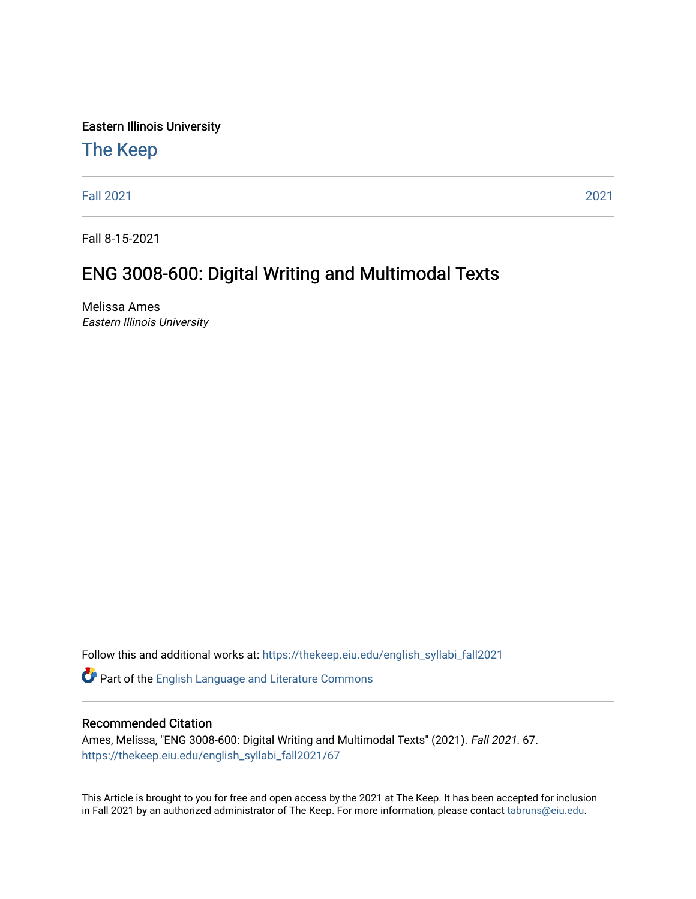Eastern Illinois University

# [The Keep](https://thekeep.eiu.edu/)

[Fall 2021](https://thekeep.eiu.edu/english_syllabi_fall2021) [2021](https://thekeep.eiu.edu/english_syllabi2021) 

Fall 8-15-2021

# ENG 3008-600: Digital Writing and Multimodal Texts

Melissa Ames Eastern Illinois University

Follow this and additional works at: [https://thekeep.eiu.edu/english\\_syllabi\\_fall2021](https://thekeep.eiu.edu/english_syllabi_fall2021?utm_source=thekeep.eiu.edu%2Fenglish_syllabi_fall2021%2F67&utm_medium=PDF&utm_campaign=PDFCoverPages) 

Part of the [English Language and Literature Commons](http://network.bepress.com/hgg/discipline/455?utm_source=thekeep.eiu.edu%2Fenglish_syllabi_fall2021%2F67&utm_medium=PDF&utm_campaign=PDFCoverPages)

#### Recommended Citation

Ames, Melissa, "ENG 3008-600: Digital Writing and Multimodal Texts" (2021). Fall 2021. 67. [https://thekeep.eiu.edu/english\\_syllabi\\_fall2021/67](https://thekeep.eiu.edu/english_syllabi_fall2021/67?utm_source=thekeep.eiu.edu%2Fenglish_syllabi_fall2021%2F67&utm_medium=PDF&utm_campaign=PDFCoverPages)

This Article is brought to you for free and open access by the 2021 at The Keep. It has been accepted for inclusion in Fall 2021 by an authorized administrator of The Keep. For more information, please contact [tabruns@eiu.edu](mailto:tabruns@eiu.edu).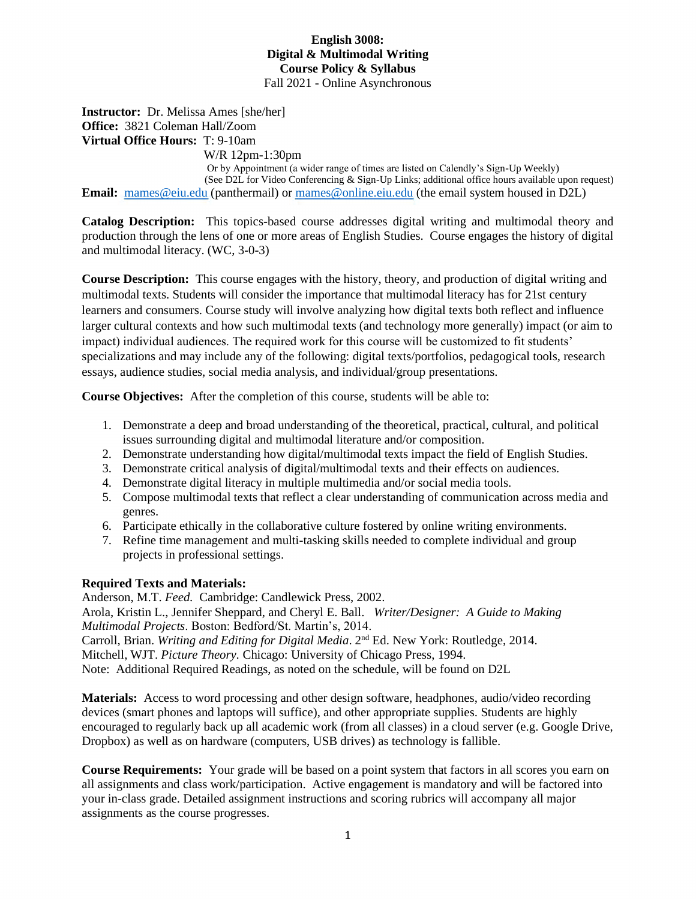#### **English 3008: Digital & Multimodal Writing Course Policy & Syllabus** Fall 2021 - Online Asynchronous

**Instructor:** Dr. Melissa Ames [she/her] **Office:** 3821 Coleman Hall/Zoom **Virtual Office Hours:** T: 9-10am

W/R 12pm-1:30pm

 Or by Appointment (a wider range of times are listed on Calendly's Sign-Up Weekly) (See D2L for Video Conferencing & Sign-Up Links; additional office hours available upon request) **Email:** [mames@eiu.edu](mailto:mames@eiu.edu) (panthermail) or [mames@online.eiu.edu](mailto:mames@online.eiu.edu) (the email system housed in D2L)

**Catalog Description:** This topics-based course addresses digital writing and multimodal theory and production through the lens of one or more areas of English Studies. Course engages the history of digital and multimodal literacy. (WC, 3-0-3)

**Course Description:** This course engages with the history, theory, and production of digital writing and multimodal texts. Students will consider the importance that multimodal literacy has for 21st century learners and consumers. Course study will involve analyzing how digital texts both reflect and influence larger cultural contexts and how such multimodal texts (and technology more generally) impact (or aim to impact) individual audiences. The required work for this course will be customized to fit students' specializations and may include any of the following: digital texts/portfolios, pedagogical tools, research essays, audience studies, social media analysis, and individual/group presentations.

**Course Objectives:** After the completion of this course, students will be able to:

- 1. Demonstrate a deep and broad understanding of the theoretical, practical, cultural, and political issues surrounding digital and multimodal literature and/or composition.
- 2. Demonstrate understanding how digital/multimodal texts impact the field of English Studies.
- 3. Demonstrate critical analysis of digital/multimodal texts and their effects on audiences.
- 4. Demonstrate digital literacy in multiple multimedia and/or social media tools.
- 5. Compose multimodal texts that reflect a clear understanding of communication across media and genres.
- 6. Participate ethically in the collaborative culture fostered by online writing environments.
- 7. Refine time management and multi-tasking skills needed to complete individual and group projects in professional settings.

#### **Required Texts and Materials:**

Anderson, M.T. *Feed.* Cambridge: Candlewick Press, 2002. Arola, Kristin L., Jennifer Sheppard, and Cheryl E. Ball. *Writer/Designer: A Guide to Making Multimodal Projects*. Boston: Bedford/St. Martin's, 2014. Carroll, Brian. *Writing and Editing for Digital Media*. 2nd Ed. New York: Routledge, 2014. Mitchell, WJT. *Picture Theory.* Chicago: University of Chicago Press, 1994.

Note: Additional Required Readings, as noted on the schedule, will be found on D2L

**Materials:** Access to word processing and other design software, headphones, audio/video recording devices (smart phones and laptops will suffice), and other appropriate supplies. Students are highly encouraged to regularly back up all academic work (from all classes) in a cloud server (e.g. Google Drive, Dropbox) as well as on hardware (computers, USB drives) as technology is fallible.

**Course Requirements:** Your grade will be based on a point system that factors in all scores you earn on all assignments and class work/participation. Active engagement is mandatory and will be factored into your in-class grade. Detailed assignment instructions and scoring rubrics will accompany all major assignments as the course progresses.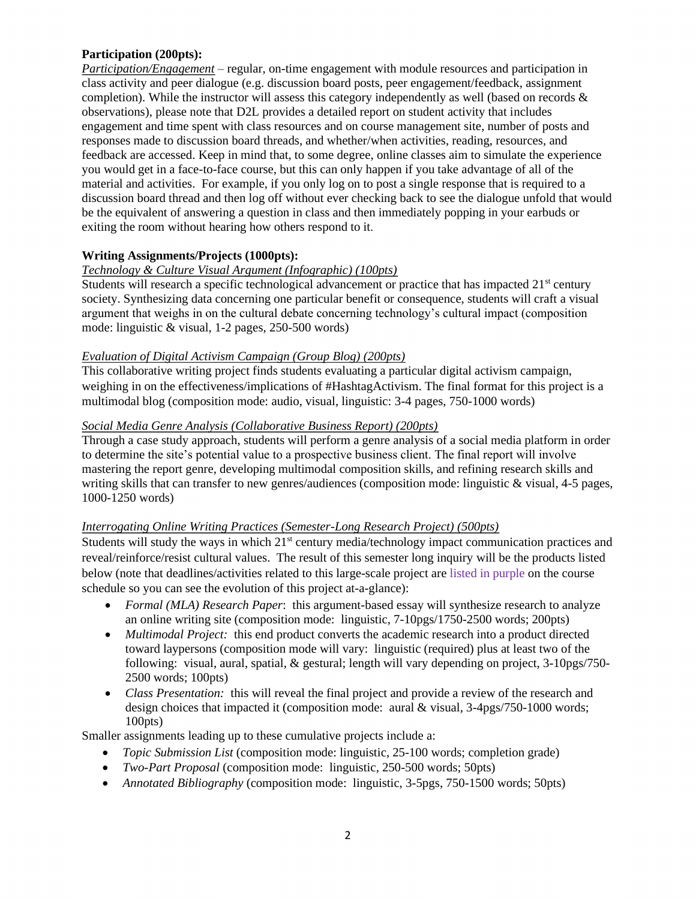#### **Participation (200pts):**

*Participation/Engagement* – regular, on-time engagement with module resources and participation in class activity and peer dialogue (e.g. discussion board posts, peer engagement/feedback, assignment completion). While the instructor will assess this category independently as well (based on records  $\&$ observations), please note that D2L provides a detailed report on student activity that includes engagement and time spent with class resources and on course management site, number of posts and responses made to discussion board threads, and whether/when activities, reading, resources, and feedback are accessed. Keep in mind that, to some degree, online classes aim to simulate the experience you would get in a face-to-face course, but this can only happen if you take advantage of all of the material and activities. For example, if you only log on to post a single response that is required to a discussion board thread and then log off without ever checking back to see the dialogue unfold that would be the equivalent of answering a question in class and then immediately popping in your earbuds or exiting the room without hearing how others respond to it.

#### **Writing Assignments/Projects (1000pts):**

#### *Technology & Culture Visual Argument (Infographic) (100pts)*

Students will research a specific technological advancement or practice that has impacted  $21<sup>st</sup>$  century society. Synthesizing data concerning one particular benefit or consequence, students will craft a visual argument that weighs in on the cultural debate concerning technology's cultural impact (composition mode: linguistic & visual, 1-2 pages, 250-500 words)

#### *Evaluation of Digital Activism Campaign (Group Blog) (200pts)*

This collaborative writing project finds students evaluating a particular digital activism campaign, weighing in on the effectiveness/implications of #HashtagActivism. The final format for this project is a multimodal blog (composition mode: audio, visual, linguistic: 3-4 pages, 750-1000 words)

## *Social Media Genre Analysis (Collaborative Business Report) (200pts)*

Through a case study approach, students will perform a genre analysis of a social media platform in order to determine the site's potential value to a prospective business client. The final report will involve mastering the report genre, developing multimodal composition skills, and refining research skills and writing skills that can transfer to new genres/audiences (composition mode: linguistic & visual, 4-5 pages, 1000-1250 words)

# *Interrogating Online Writing Practices (Semester-Long Research Project) (500pts)*

Students will study the ways in which 21<sup>st</sup> century media/technology impact communication practices and reveal/reinforce/resist cultural values. The result of this semester long inquiry will be the products listed below (note that deadlines/activities related to this large-scale project are listed in purple on the course schedule so you can see the evolution of this project at-a-glance):

- *Formal (MLA) Research Paper*: this argument-based essay will synthesize research to analyze an online writing site (composition mode: linguistic, 7-10pgs/1750-2500 words; 200pts)
- *Multimodal Project:* this end product converts the academic research into a product directed toward laypersons (composition mode will vary: linguistic (required) plus at least two of the following: visual, aural, spatial, & gestural; length will vary depending on project, 3-10pgs/750- 2500 words; 100pts)
- *Class Presentation:* this will reveal the final project and provide a review of the research and design choices that impacted it (composition mode: aural & visual, 3-4pgs/750-1000 words; 100pts)

Smaller assignments leading up to these cumulative projects include a:

- *Topic Submission List* (composition mode: linguistic, 25-100 words; completion grade)
- *Two-Part Proposal* (composition mode: linguistic, 250-500 words; 50pts)
- *Annotated Bibliography* (composition mode: linguistic, 3-5pgs, 750-1500 words; 50pts)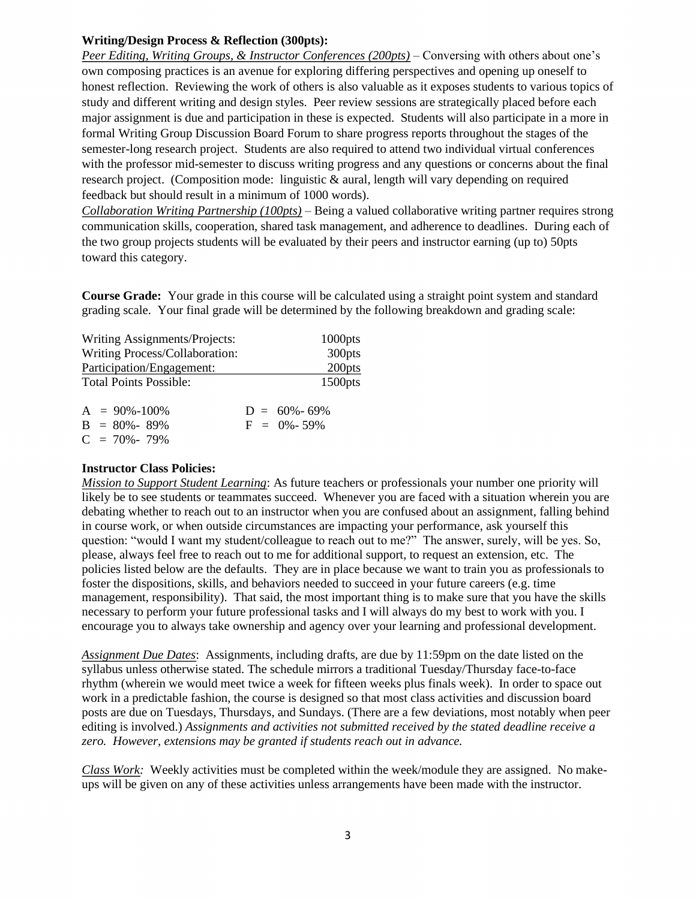#### **Writing/Design Process & Reflection (300pts):**

*Peer Editing, Writing Groups, & Instructor Conferences (200pts) –* Conversing with others about one's own composing practices is an avenue for exploring differing perspectives and opening up oneself to honest reflection. Reviewing the work of others is also valuable as it exposes students to various topics of study and different writing and design styles. Peer review sessions are strategically placed before each major assignment is due and participation in these is expected. Students will also participate in a more in formal Writing Group Discussion Board Forum to share progress reports throughout the stages of the semester-long research project. Students are also required to attend two individual virtual conferences with the professor mid-semester to discuss writing progress and any questions or concerns about the final research project. (Composition mode: linguistic & aural, length will vary depending on required feedback but should result in a minimum of 1000 words).

*Collaboration Writing Partnership (100pts)* – Being a valued collaborative writing partner requires strong communication skills, cooperation, shared task management, and adherence to deadlines. During each of the two group projects students will be evaluated by their peers and instructor earning (up to) 50pts toward this category.

**Course Grade:** Your grade in this course will be calculated using a straight point system and standard grading scale. Your final grade will be determined by the following breakdown and grading scale:

| Writing Assignments/Projects:  | $1000$ pts |
|--------------------------------|------------|
| Writing Process/Collaboration: | 300pts     |
| Participation/Engagement:      | 200pts     |
| <b>Total Points Possible:</b>  | $1500$ pts |
|                                |            |

| $A = 90\% - 100\%$ | $D = 60\% - 69\%$ |
|--------------------|-------------------|
| $B = 80\% - 89\%$  | $F = 0\% - 59\%$  |
| $C = 70\% - 79\%$  |                   |

#### **Instructor Class Policies:**

*Mission to Support Student Learning*: As future teachers or professionals your number one priority will likely be to see students or teammates succeed. Whenever you are faced with a situation wherein you are debating whether to reach out to an instructor when you are confused about an assignment, falling behind in course work, or when outside circumstances are impacting your performance, ask yourself this question: "would I want my student/colleague to reach out to me?" The answer, surely, will be yes. So, please, always feel free to reach out to me for additional support, to request an extension, etc. The policies listed below are the defaults. They are in place because we want to train you as professionals to foster the dispositions, skills, and behaviors needed to succeed in your future careers (e.g. time management, responsibility). That said, the most important thing is to make sure that you have the skills necessary to perform your future professional tasks and I will always do my best to work with you. I encourage you to always take ownership and agency over your learning and professional development.

*Assignment Due Dates*: Assignments, including drafts, are due by 11:59pm on the date listed on the syllabus unless otherwise stated. The schedule mirrors a traditional Tuesday/Thursday face-to-face rhythm (wherein we would meet twice a week for fifteen weeks plus finals week). In order to space out work in a predictable fashion, the course is designed so that most class activities and discussion board posts are due on Tuesdays, Thursdays, and Sundays. (There are a few deviations, most notably when peer editing is involved.) *Assignments and activities not submitted received by the stated deadline receive a zero. However, extensions may be granted if students reach out in advance.*

*Class Work:* Weekly activities must be completed within the week/module they are assigned. No makeups will be given on any of these activities unless arrangements have been made with the instructor.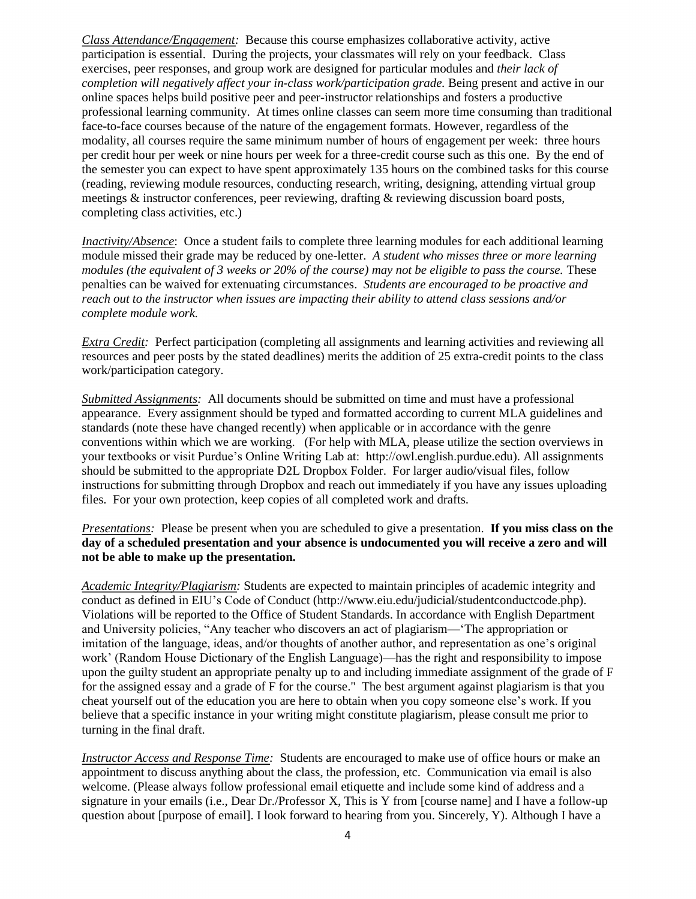*Class Attendance/Engagement:* Because this course emphasizes collaborative activity, active participation is essential. During the projects, your classmates will rely on your feedback. Class exercises, peer responses, and group work are designed for particular modules and *their lack of completion will negatively affect your in-class work/participation grade.* Being present and active in our online spaces helps build positive peer and peer-instructor relationships and fosters a productive professional learning community. At times online classes can seem more time consuming than traditional face-to-face courses because of the nature of the engagement formats. However, regardless of the modality, all courses require the same minimum number of hours of engagement per week: three hours per credit hour per week or nine hours per week for a three-credit course such as this one. By the end of the semester you can expect to have spent approximately 135 hours on the combined tasks for this course (reading, reviewing module resources, conducting research, writing, designing, attending virtual group meetings & instructor conferences, peer reviewing, drafting & reviewing discussion board posts, completing class activities, etc.)

*Inactivity/Absence*: Once a student fails to complete three learning modules for each additional learning module missed their grade may be reduced by one-letter. *A student who misses three or more learning modules (the equivalent of 3 weeks or 20% of the course) may not be eligible to pass the course.* These penalties can be waived for extenuating circumstances. *Students are encouraged to be proactive and reach out to the instructor when issues are impacting their ability to attend class sessions and/or complete module work.*

*Extra Credit:* Perfect participation (completing all assignments and learning activities and reviewing all resources and peer posts by the stated deadlines) merits the addition of 25 extra-credit points to the class work/participation category.

*Submitted Assignments:* All documents should be submitted on time and must have a professional appearance. Every assignment should be typed and formatted according to current MLA guidelines and standards (note these have changed recently) when applicable or in accordance with the genre conventions within which we are working. (For help with MLA, please utilize the section overviews in your textbooks or visit Purdue's Online Writing Lab at: http://owl.english.purdue.edu). All assignments should be submitted to the appropriate D2L Dropbox Folder. For larger audio/visual files, follow instructions for submitting through Dropbox and reach out immediately if you have any issues uploading files. For your own protection, keep copies of all completed work and drafts.

*Presentations:* Please be present when you are scheduled to give a presentation. **If you miss class on the day of a scheduled presentation and your absence is undocumented you will receive a zero and will not be able to make up the presentation.** 

*Academic Integrity/Plagiarism:* Students are expected to maintain principles of academic integrity and conduct as defined in EIU's Code of Conduct (http://www.eiu.edu/judicial/studentconductcode.php). Violations will be reported to the Office of Student Standards. In accordance with English Department and University policies, "Any teacher who discovers an act of plagiarism—'The appropriation or imitation of the language, ideas, and/or thoughts of another author, and representation as one's original work' (Random House Dictionary of the English Language)—has the right and responsibility to impose upon the guilty student an appropriate penalty up to and including immediate assignment of the grade of F for the assigned essay and a grade of F for the course." The best argument against plagiarism is that you cheat yourself out of the education you are here to obtain when you copy someone else's work. If you believe that a specific instance in your writing might constitute plagiarism, please consult me prior to turning in the final draft.

*Instructor Access and Response Time:* Students are encouraged to make use of office hours or make an appointment to discuss anything about the class, the profession, etc. Communication via email is also welcome. (Please always follow professional email etiquette and include some kind of address and a signature in your emails (i.e., Dear Dr./Professor X, This is Y from [course name] and I have a follow-up question about [purpose of email]. I look forward to hearing from you. Sincerely, Y). Although I have a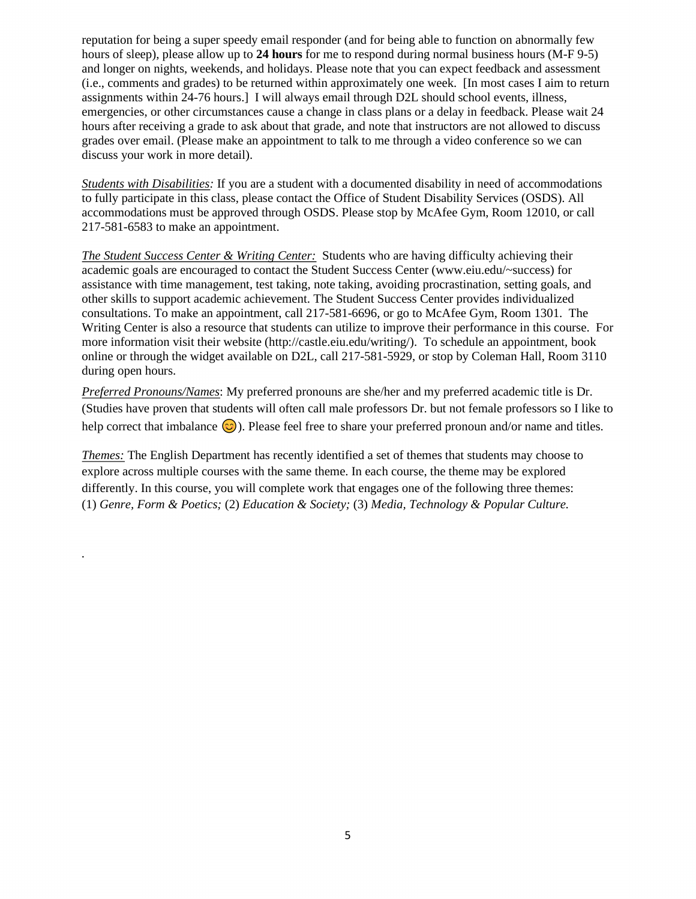reputation for being a super speedy email responder (and for being able to function on abnormally few hours of sleep), please allow up to **24 hours** for me to respond during normal business hours (M-F 9-5) and longer on nights, weekends, and holidays. Please note that you can expect feedback and assessment (i.e., comments and grades) to be returned within approximately one week. [In most cases I aim to return assignments within 24-76 hours.] I will always email through D2L should school events, illness, emergencies, or other circumstances cause a change in class plans or a delay in feedback. Please wait 24 hours after receiving a grade to ask about that grade, and note that instructors are not allowed to discuss grades over email. (Please make an appointment to talk to me through a video conference so we can discuss your work in more detail).

*Students with Disabilities:* If you are a student with a documented disability in need of accommodations to fully participate in this class, please contact the Office of Student Disability Services (OSDS). All accommodations must be approved through OSDS. Please stop by McAfee Gym, Room 12010, or call 217-581-6583 to make an appointment.

*The Student Success Center & Writing Center:* Students who are having difficulty achieving their academic goals are encouraged to contact the Student Success Center (www.eiu.edu/~success) for assistance with time management, test taking, note taking, avoiding procrastination, setting goals, and other skills to support academic achievement. The Student Success Center provides individualized consultations. To make an appointment, call 217-581-6696, or go to McAfee Gym, Room 1301. The Writing Center is also a resource that students can utilize to improve their performance in this course. For more information visit their website (http://castle.eiu.edu/writing/). To schedule an appointment, book online or through the widget available on D2L, call 217-581-5929, or stop by Coleman Hall, Room 3110 during open hours.

*Preferred Pronouns/Names*: My preferred pronouns are she/her and my preferred academic title is Dr. (Studies have proven that students will often call male professors Dr. but not female professors so I like to help correct that imbalance  $\odot$ ). Please feel free to share your preferred pronoun and/or name and titles.

*Themes:* The English Department has recently identified a set of themes that students may choose to explore across multiple courses with the same theme. In each course, the theme may be explored differently. In this course, you will complete work that engages one of the following three themes: (1) *Genre, Form & Poetics;* (2) *Education & Society;* (3) *Media, Technology & Popular Culture.*

*.*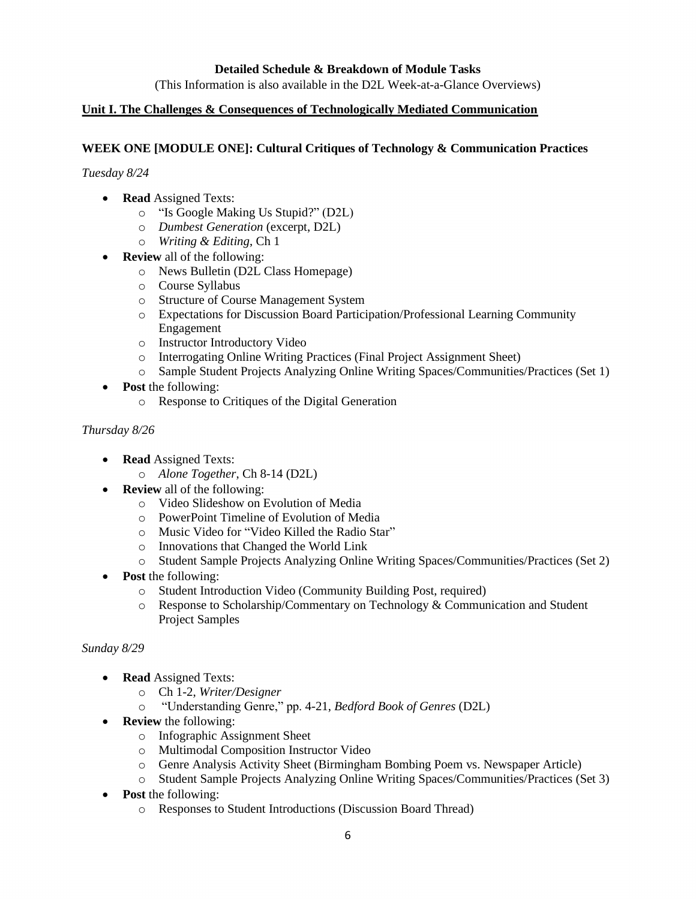#### **Detailed Schedule & Breakdown of Module Tasks**

(This Information is also available in the D2L Week-at-a-Glance Overviews)

#### **Unit I. The Challenges & Consequences of Technologically Mediated Communication**

#### **WEEK ONE [MODULE ONE]: Cultural Critiques of Technology & Communication Practices**

*Tuesday 8/24*

- **Read** Assigned Texts:
	- o "Is Google Making Us Stupid?" (D2L)
	- o *Dumbest Generation* (excerpt, D2L)
	- o *Writing & Editing*, Ch 1
- **Review** all of the following:
	- o News Bulletin (D2L Class Homepage)
	- o Course Syllabus
	- o Structure of Course Management System
	- o Expectations for Discussion Board Participation/Professional Learning Community Engagement
	- o Instructor Introductory Video
	- o Interrogating Online Writing Practices (Final Project Assignment Sheet)
	- o Sample Student Projects Analyzing Online Writing Spaces/Communities/Practices (Set 1)
- **Post** the following:
	- o Response to Critiques of the Digital Generation

#### *Thursday 8/26*

- **Read** Assigned Texts:
	- o *Alone Together*, Ch 8-14 (D2L)
- **Review** all of the following:
	- o Video Slideshow on Evolution of Media
	- o PowerPoint Timeline of Evolution of Media
	- o Music Video for "Video Killed the Radio Star"
	- o Innovations that Changed the World Link
	- o Student Sample Projects Analyzing Online Writing Spaces/Communities/Practices (Set 2)
- **Post** the following:
	- o Student Introduction Video (Community Building Post, required)
	- o Response to Scholarship/Commentary on Technology & Communication and Student Project Samples

#### *Sunday 8/29*

- **Read** Assigned Texts:
	- o Ch 1-2, *Writer/Designer*
	- o "Understanding Genre," pp. 4-21, *Bedford Book of Genres* (D2L)
- **Review** the following:
	- o Infographic Assignment Sheet
	- o Multimodal Composition Instructor Video
	- o Genre Analysis Activity Sheet (Birmingham Bombing Poem vs. Newspaper Article)
	- o Student Sample Projects Analyzing Online Writing Spaces/Communities/Practices (Set 3)
- **Post** the following:
	- o Responses to Student Introductions (Discussion Board Thread)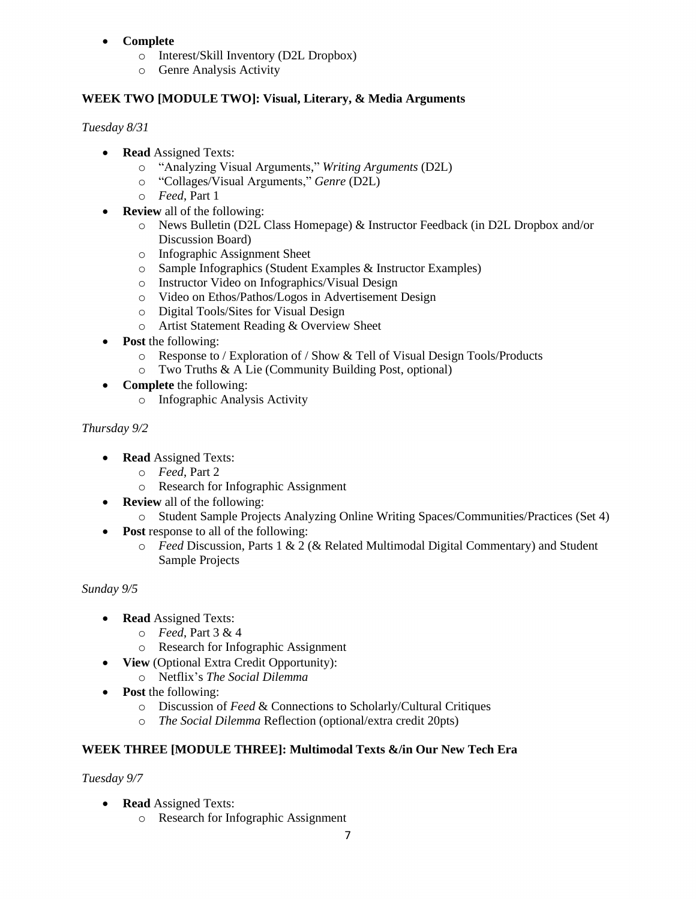## • **Complete**

- o Interest/Skill Inventory (D2L Dropbox)
- o Genre Analysis Activity

## **WEEK TWO [MODULE TWO]: Visual, Literary, & Media Arguments**

#### *Tuesday 8/31*

- **Read** Assigned Texts:
	- o "Analyzing Visual Arguments," *Writing Arguments* (D2L)
	- o "Collages/Visual Arguments," *Genre* (D2L)
	- o *Feed*, Part 1
- **Review** all of the following:
	- o News Bulletin (D2L Class Homepage) & Instructor Feedback (in D2L Dropbox and/or Discussion Board)
	- o Infographic Assignment Sheet
	- o Sample Infographics (Student Examples & Instructor Examples)
	- o Instructor Video on Infographics/Visual Design
	- o Video on Ethos/Pathos/Logos in Advertisement Design
	- o Digital Tools/Sites for Visual Design
	- o Artist Statement Reading & Overview Sheet
- **Post** the following:
	- o Response to / Exploration of / Show & Tell of Visual Design Tools/Products
	- o Two Truths & A Lie (Community Building Post, optional)
- **Complete** the following:
	- o Infographic Analysis Activity

## *Thursday 9/2*

- **Read** Assigned Texts:
	- o *Feed*, Part 2
	- o Research for Infographic Assignment
- **Review** all of the following:
	- o Student Sample Projects Analyzing Online Writing Spaces/Communities/Practices (Set 4)
- **Post** response to all of the following:
	- o *Feed* Discussion, Parts 1 & 2 (& Related Multimodal Digital Commentary) and Student Sample Projects

## *Sunday 9/5*

- **Read** Assigned Texts:
	- o *Feed*, Part 3 & 4
	- o Research for Infographic Assignment
- **View** (Optional Extra Credit Opportunity):
	- o Netflix's *The Social Dilemma*
- **Post** the following:
	- o Discussion of *Feed* & Connections to Scholarly/Cultural Critiques
	- o *The Social Dilemma* Reflection (optional/extra credit 20pts)

# **WEEK THREE [MODULE THREE]: Multimodal Texts &/in Our New Tech Era**

*Tuesday 9/7*

- **Read** Assigned Texts:
	- o Research for Infographic Assignment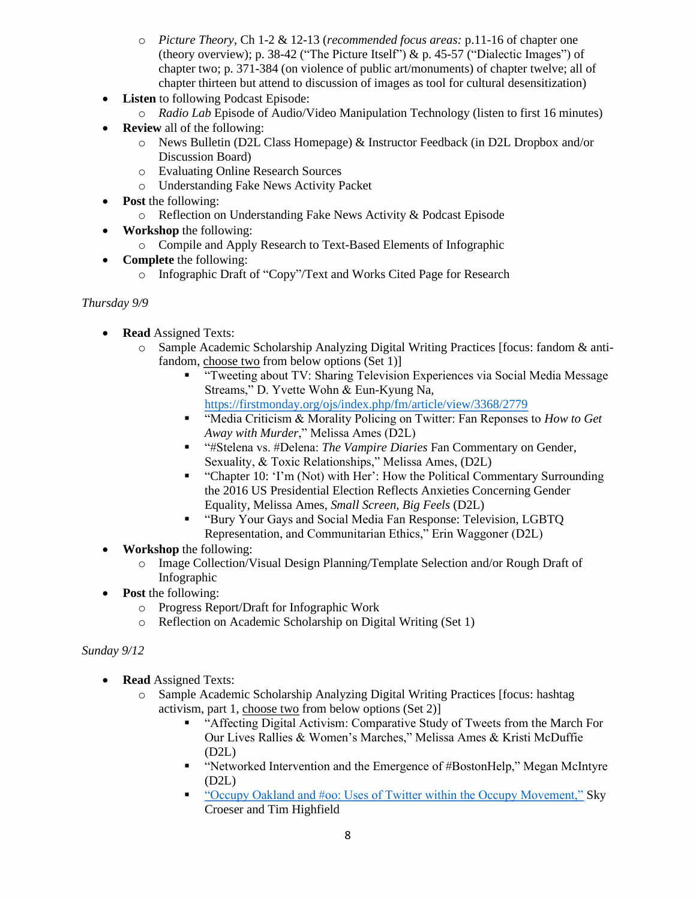- o *Picture Theory*, Ch 1-2 & 12-13 (*recommended focus areas:* p.11-16 of chapter one (theory overview); p. 38-42 ("The Picture Itself")  $\&$  p. 45-57 ("Dialectic Images") of chapter two; p. 371-384 (on violence of public art/monuments) of chapter twelve; all of chapter thirteen but attend to discussion of images as tool for cultural desensitization)
- **Listen** to following Podcast Episode:
	- o *Radio Lab* Episode of Audio/Video Manipulation Technology (listen to first 16 minutes)
- **Review** all of the following:
	- o News Bulletin (D2L Class Homepage) & Instructor Feedback (in D2L Dropbox and/or Discussion Board)
	- o Evaluating Online Research Sources
	- o Understanding Fake News Activity Packet
- **Post** the following:
	- o Reflection on Understanding Fake News Activity & Podcast Episode
- **Workshop** the following:
	- o Compile and Apply Research to Text-Based Elements of Infographic
- **Complete** the following:
	- o Infographic Draft of "Copy"/Text and Works Cited Page for Research

#### *Thursday 9/9*

- **Read** Assigned Texts:
	- o Sample Academic Scholarship Analyzing Digital Writing Practices [focus: fandom & antifandom, choose two from below options (Set 1)]
		- "Tweeting about TV: Sharing Television Experiences via Social Media Message Streams," D. Yvette Wohn & Eun-Kyung Na, <https://firstmonday.org/ojs/index.php/fm/article/view/3368/2779>
		- "Media Criticism & Morality Policing on Twitter: Fan Reponses to *How to Get Away with Murder*," Melissa Ames (D2L)
		- "#Stelena vs. #Delena: *The Vampire Diaries* Fan Commentary on Gender, Sexuality, & Toxic Relationships," Melissa Ames, (D2L)
		- "Chapter 10: 'I'm (Not) with Her': How the Political Commentary Surrounding the 2016 US Presidential Election Reflects Anxieties Concerning Gender Equality, Melissa Ames, *Small Screen, Big Feels* (D2L)
		- "Bury Your Gays and Social Media Fan Response: Television, LGBTQ Representation, and Communitarian Ethics," Erin Waggoner (D2L)
- **Workshop** the following:
	- o Image Collection/Visual Design Planning/Template Selection and/or Rough Draft of Infographic
- **Post** the following:
	- o Progress Report/Draft for Infographic Work
	- o Reflection on Academic Scholarship on Digital Writing (Set 1)

#### *Sunday 9/12*

- **Read** Assigned Texts:
	- o Sample Academic Scholarship Analyzing Digital Writing Practices [focus: hashtag activism, part 1, choose two from below options (Set 2)]
		- "Affecting Digital Activism: Comparative Study of Tweets from the March For Our Lives Rallies & Women's Marches," Melissa Ames & Kristi McDuffie (D2L)
		- "Networked Intervention and the Emergence of #BostonHelp," Megan McIntyre (D2L)
		- "Occupy Oakland and #00: Uses of Twitter within the Occupy Movement," Sky Croeser and Tim Highfield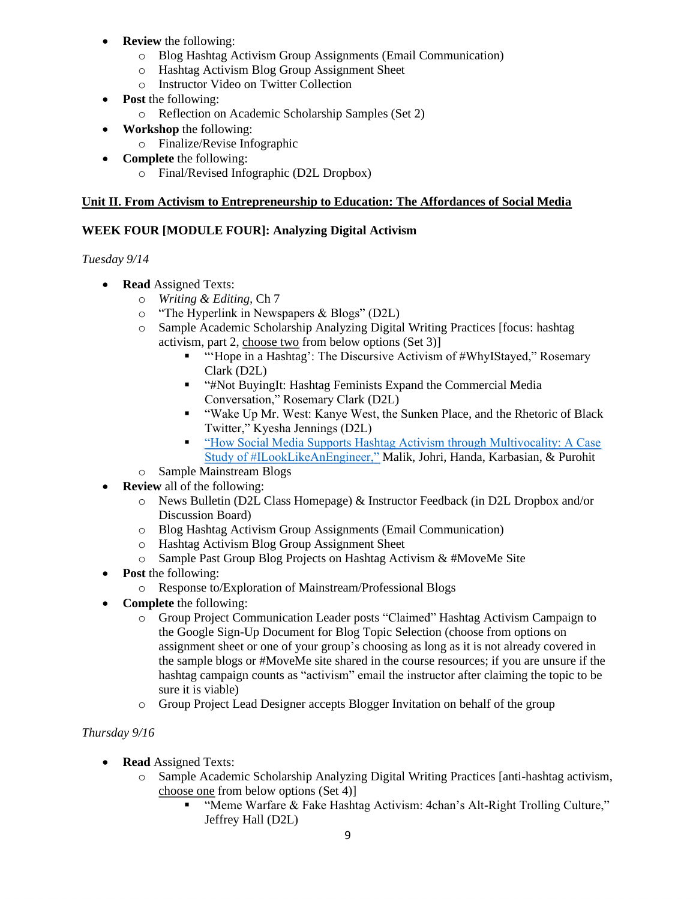- **Review** the following:
	- o Blog Hashtag Activism Group Assignments (Email Communication)
	- o Hashtag Activism Blog Group Assignment Sheet
	- o Instructor Video on Twitter Collection
- **Post** the following:
	- o Reflection on Academic Scholarship Samples (Set 2)
- **Workshop** the following:
	- o Finalize/Revise Infographic
- **Complete** the following:
	- o Final/Revised Infographic (D2L Dropbox)

#### **Unit II. From Activism to Entrepreneurship to Education: The Affordances of Social Media**

## **WEEK FOUR [MODULE FOUR]: Analyzing Digital Activism**

## *Tuesday 9/14*

- **Read** Assigned Texts:
	- o *Writing & Editing,* Ch 7
	- o "The Hyperlink in Newspapers & Blogs" (D2L)
	- o Sample Academic Scholarship Analyzing Digital Writing Practices [focus: hashtag activism, part 2, choose two from below options (Set 3)]
		- "Hope in a Hashtag': The Discursive Activism of #WhyIStayed," Rosemary Clark (D2L)
		- "#Not BuyingIt: Hashtag Feminists Expand the Commercial Media Conversation," Rosemary Clark (D2L)
		- "Wake Up Mr. West: Kanye West, the Sunken Place, and the Rhetoric of Black Twitter," Kyesha Jennings (D2L)
		- "How Social Media Supports Hashtag Activism through Multivocality: A Case [Study of #ILookLikeAnEngineer,"](https://firstmonday.org/ojs/index.php/fm/article/view/9181) Malik, Johri, Handa, Karbasian, & Purohit
	- o Sample Mainstream Blogs
- **Review** all of the following:
	- o News Bulletin (D2L Class Homepage) & Instructor Feedback (in D2L Dropbox and/or Discussion Board)
	- o Blog Hashtag Activism Group Assignments (Email Communication)
	- o Hashtag Activism Blog Group Assignment Sheet
	- o Sample Past Group Blog Projects on Hashtag Activism & #MoveMe Site
- **Post** the following:
	- o Response to/Exploration of Mainstream/Professional Blogs
- **Complete** the following:
	- o Group Project Communication Leader posts "Claimed" Hashtag Activism Campaign to the Google Sign-Up Document for Blog Topic Selection (choose from options on assignment sheet or one of your group's choosing as long as it is not already covered in the sample blogs or #MoveMe site shared in the course resources; if you are unsure if the hashtag campaign counts as "activism" email the instructor after claiming the topic to be sure it is viable)
	- o Group Project Lead Designer accepts Blogger Invitation on behalf of the group

## *Thursday 9/16*

- **Read** Assigned Texts:
	- o Sample Academic Scholarship Analyzing Digital Writing Practices [anti-hashtag activism, choose one from below options (Set 4)]
		- "Meme Warfare & Fake Hashtag Activism: 4chan's Alt-Right Trolling Culture," Jeffrey Hall (D2L)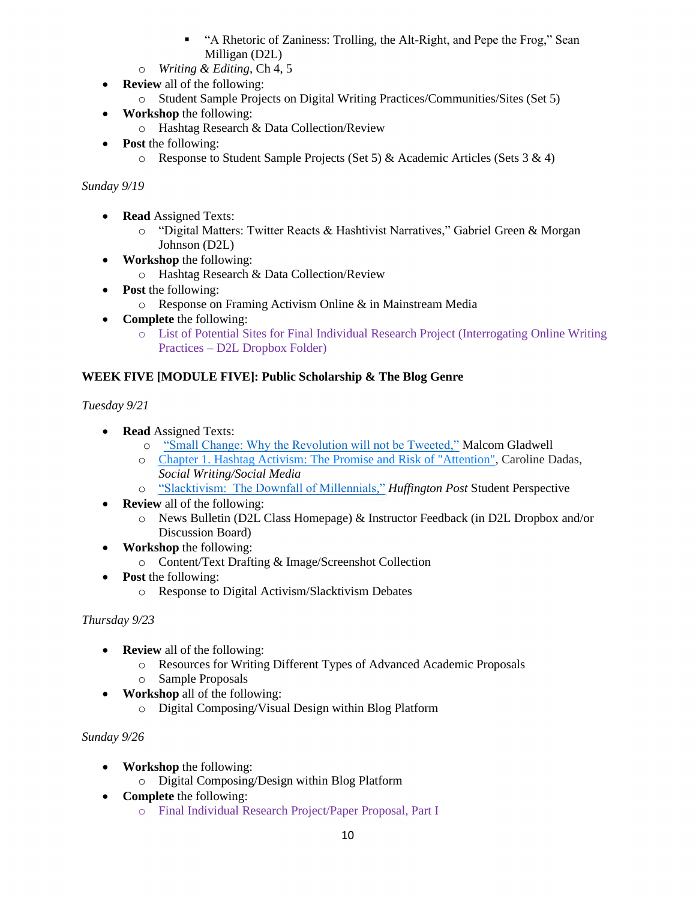- **•** "A Rhetoric of Zaniness: Trolling, the Alt-Right, and Pepe the Frog," Sean Milligan (D2L)
- o *Writing & Editing*, Ch 4, 5
- **Review** all of the following:
	- o Student Sample Projects on Digital Writing Practices/Communities/Sites (Set 5)
- **Workshop** the following:
	- o Hashtag Research & Data Collection/Review
- **Post** the following:
	- o Response to Student Sample Projects (Set 5) & Academic Articles (Sets 3 & 4)

# *Sunday 9/19*

- **Read** Assigned Texts:
	- o "Digital Matters: Twitter Reacts & Hashtivist Narratives," Gabriel Green & Morgan Johnson (D2L)
- **Workshop** the following:
	- o Hashtag Research & Data Collection/Review
- **Post** the following:
	- o Response on Framing Activism Online & in Mainstream Media
- **Complete** the following:
	- o List of Potential Sites for Final Individual Research Project (Interrogating Online Writing Practices – D2L Dropbox Folder)

# **WEEK FIVE [MODULE FIVE]: Public Scholarship & The Blog Genre**

*Tuesday 9/21*

- **Read** Assigned Texts:
	- o ["Small Change: Why the Revolution will not be Tweeted,"](https://www.newyorker.com/magazine/2010/10/04/small-change-malcolm-gladwell) Malcom Gladwell
	- o [Chapter 1. Hashtag Activism: The Promise and Risk of "Attention",](https://wac.colostate.edu/docs/books/social/chapter1.pdf) Caroline Dadas, *Social Writing/Social Media*
	- o ["Slacktivism: The Downfall of Millennials,"](http://www.huffingtonpost.com/charlotte-robertson/slacktivism-the-downfall-_b_5984336.html) *Huffington Post* Student Perspective
- **Review** all of the following:
	- o News Bulletin (D2L Class Homepage) & Instructor Feedback (in D2L Dropbox and/or Discussion Board)
- **Workshop** the following:
	- o Content/Text Drafting & Image/Screenshot Collection
- **Post** the following:
	- o Response to Digital Activism/Slacktivism Debates

# *Thursday 9/23*

- **Review** all of the following:
	- o Resources for Writing Different Types of Advanced Academic Proposals
	- o Sample Proposals
- **Workshop** all of the following:
	- o Digital Composing/Visual Design within Blog Platform

# *Sunday 9/26*

- **Workshop** the following:
	- o Digital Composing/Design within Blog Platform
- **Complete** the following:
	- o Final Individual Research Project/Paper Proposal, Part I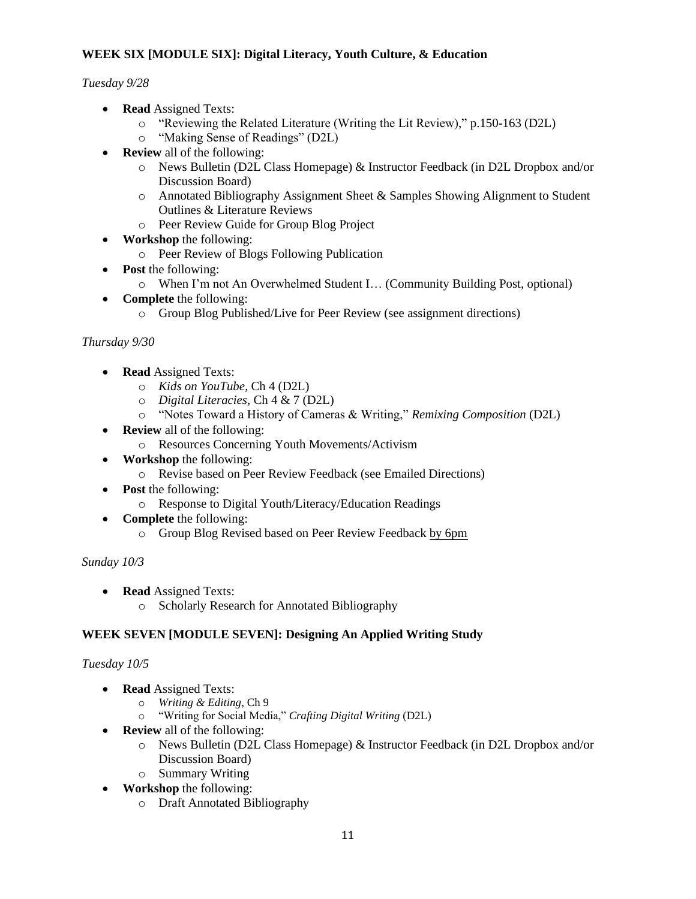## **WEEK SIX [MODULE SIX]: Digital Literacy, Youth Culture, & Education**

*Tuesday 9/28*

- **Read** Assigned Texts:
	- o "Reviewing the Related Literature (Writing the Lit Review)," p.150-163 (D2L)
	- o "Making Sense of Readings" (D2L)
- **Review** all of the following:
	- o News Bulletin (D2L Class Homepage) & Instructor Feedback (in D2L Dropbox and/or Discussion Board)
	- o Annotated Bibliography Assignment Sheet & Samples Showing Alignment to Student Outlines & Literature Reviews
	- o Peer Review Guide for Group Blog Project
- **Workshop** the following:
	- o Peer Review of Blogs Following Publication
- **Post** the following:
	- o When I'm not An Overwhelmed Student I… (Community Building Post, optional)
- **Complete** the following:
	- o Group Blog Published/Live for Peer Review (see assignment directions)

## *Thursday 9/30*

- **Read** Assigned Texts:
	- o *Kids on YouTube*, Ch 4 (D2L)
	- o *Digital Literacies*, Ch 4 & 7 (D2L)
	- o "Notes Toward a History of Cameras & Writing," *Remixing Composition* (D2L)
- **Review** all of the following:
	- o Resources Concerning Youth Movements/Activism
- **Workshop** the following:
	- o Revise based on Peer Review Feedback (see Emailed Directions)
- **Post** the following:
	- o Response to Digital Youth/Literacy/Education Readings
- **Complete** the following:
	- o Group Blog Revised based on Peer Review Feedback by 6pm

## *Sunday 10/3*

- **Read** Assigned Texts:
	- o Scholarly Research for Annotated Bibliography

## **WEEK SEVEN [MODULE SEVEN]: Designing An Applied Writing Study**

## *Tuesday 10/5*

- **Read** Assigned Texts:
	- o *Writing & Editing*, Ch 9
	- o "Writing for Social Media," *Crafting Digital Writing* (D2L)
- **Review** all of the following:
	- o News Bulletin (D2L Class Homepage) & Instructor Feedback (in D2L Dropbox and/or Discussion Board)
	- o Summary Writing
- **Workshop** the following:
	- o Draft Annotated Bibliography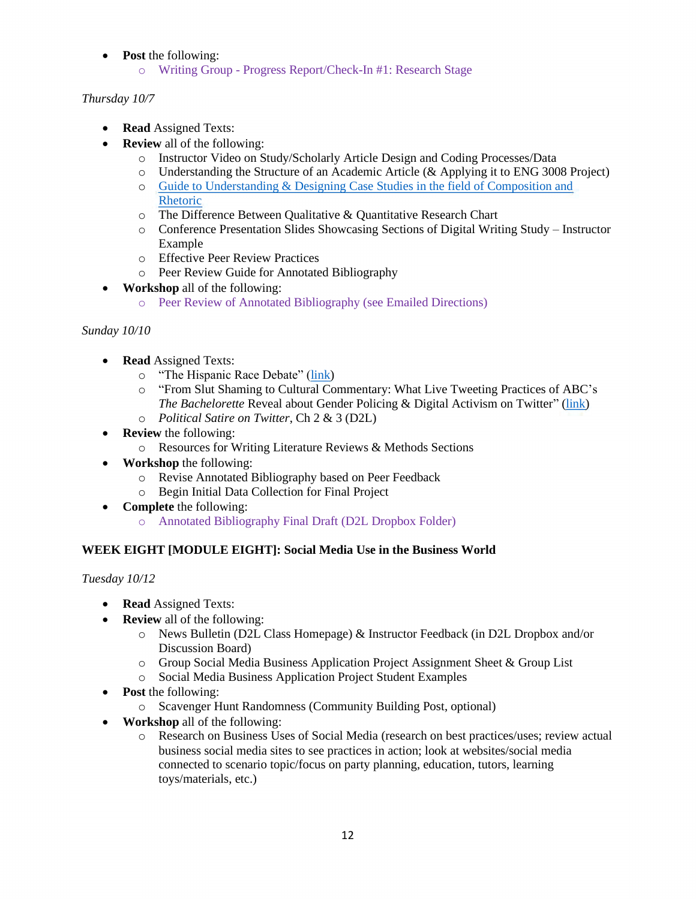- **Post** the following:
	- o Writing Group Progress Report/Check-In #1: Research Stage

# *Thursday 10/7*

- **Read** Assigned Texts:
- **Review** all of the following:
	- o Instructor Video on Study/Scholarly Article Design and Coding Processes/Data
	- o Understanding the Structure of an Academic Article (& Applying it to ENG 3008 Project)
	- o [Guide to Understanding & Designing Case Studies in the field of Composition and](https://wac.colostate.edu/resources/writing/guides/casestudies/)  [Rhetoric](https://wac.colostate.edu/resources/writing/guides/casestudies/)
	- o The Difference Between Qualitative & Quantitative Research Chart
	- o Conference Presentation Slides Showcasing Sections of Digital Writing Study Instructor Example
	- o Effective Peer Review Practices
	- o Peer Review Guide for Annotated Bibliography
- **Workshop** all of the following:
	- o Peer Review of Annotated Bibliography (see Emailed Directions)

# *Sunday 10/10*

- **Read** Assigned Texts:
	- o "The Hispanic Race Debate" [\(link\)](https://xchanges.org/the-hispanic-race-debate-9-1)
	- o "From Slut Shaming to Cultural Commentary: What Live Tweeting Practices of ABC's *The Bachelorette* Reveal about Gender Policing & Digital Activism on Twitter" [\(link\)](https://wac.colostate.edu/docs/proceedings/cw2016/ames.pdf)
	- o *Political Satire on Twitter*, Ch 2 & 3 (D2L)
- **Review** the following:
	- o Resources for Writing Literature Reviews & Methods Sections
- **Workshop** the following:
	- o Revise Annotated Bibliography based on Peer Feedback
	- o Begin Initial Data Collection for Final Project
- **Complete** the following:
	- o Annotated Bibliography Final Draft (D2L Dropbox Folder)

## **WEEK EIGHT [MODULE EIGHT]: Social Media Use in the Business World**

*Tuesday 10/12*

- **Read** Assigned Texts:
- **Review** all of the following:
	- o News Bulletin (D2L Class Homepage) & Instructor Feedback (in D2L Dropbox and/or Discussion Board)
	- o Group Social Media Business Application Project Assignment Sheet & Group List
	- o Social Media Business Application Project Student Examples
- **Post** the following:
	- o Scavenger Hunt Randomness (Community Building Post, optional)
- **Workshop** all of the following:
	- o Research on Business Uses of Social Media (research on best practices/uses; review actual business social media sites to see practices in action; look at websites/social media connected to scenario topic/focus on party planning, education, tutors, learning toys/materials, etc.)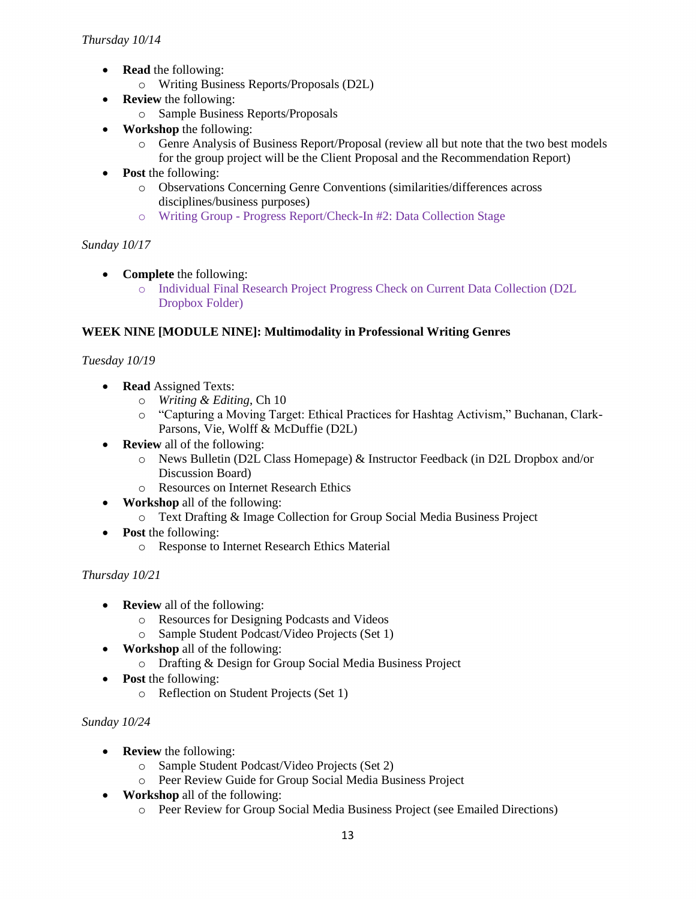- **Read** the following:
	- o Writing Business Reports/Proposals (D2L)
- **Review** the following:
	- o Sample Business Reports/Proposals
- **Workshop** the following:
	- o Genre Analysis of Business Report/Proposal (review all but note that the two best models for the group project will be the Client Proposal and the Recommendation Report)
- **Post** the following:
	- o Observations Concerning Genre Conventions (similarities/differences across disciplines/business purposes)
	- o Writing Group Progress Report/Check-In #2: Data Collection Stage

## *Sunday 10/17*

- **Complete** the following:
	- o Individual Final Research Project Progress Check on Current Data Collection (D2L Dropbox Folder)

#### **WEEK NINE [MODULE NINE]: Multimodality in Professional Writing Genres**

## *Tuesday 10/19*

- **Read** Assigned Texts:
	- o *Writing & Editing*, Ch 10
	- o "Capturing a Moving Target: Ethical Practices for Hashtag Activism," Buchanan, Clark-Parsons, Vie, Wolff & McDuffie (D2L)
- **Review** all of the following:
	- o News Bulletin (D2L Class Homepage) & Instructor Feedback (in D2L Dropbox and/or Discussion Board)
	- o Resources on Internet Research Ethics
- **Workshop** all of the following:
	- o Text Drafting & Image Collection for Group Social Media Business Project
- **Post** the following:
	- o Response to Internet Research Ethics Material

## *Thursday 10/21*

- **Review** all of the following:
	- o Resources for Designing Podcasts and Videos
	- o Sample Student Podcast/Video Projects (Set 1)
- **Workshop** all of the following:
	- o Drafting & Design for Group Social Media Business Project
- **Post** the following:
	- o Reflection on Student Projects (Set 1)

#### *Sunday 10/24*

- **Review** the following:
	- o Sample Student Podcast/Video Projects (Set 2)
	- o Peer Review Guide for Group Social Media Business Project
- **Workshop** all of the following:
	- o Peer Review for Group Social Media Business Project (see Emailed Directions)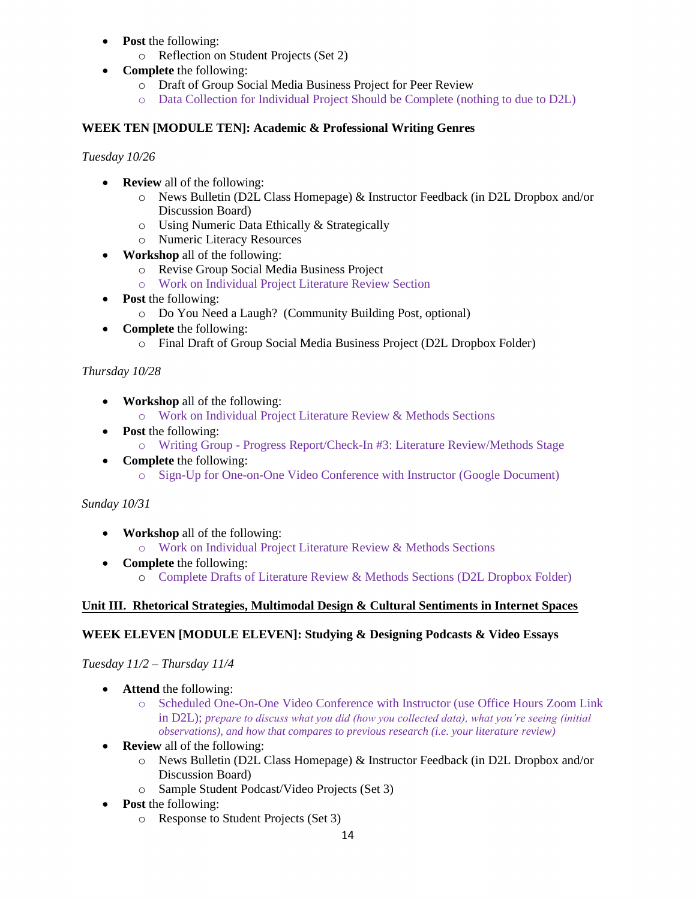- **Post** the following:
	- o Reflection on Student Projects (Set 2)
- **Complete** the following:
	- o Draft of Group Social Media Business Project for Peer Review
	- o Data Collection for Individual Project Should be Complete (nothing to due to D2L)

# **WEEK TEN [MODULE TEN]: Academic & Professional Writing Genres**

*Tuesday 10/26*

- **Review** all of the following:
	- o News Bulletin (D2L Class Homepage) & Instructor Feedback (in D2L Dropbox and/or Discussion Board)
	- o Using Numeric Data Ethically & Strategically
	- o Numeric Literacy Resources
- **Workshop** all of the following:
	- o Revise Group Social Media Business Project
	- o Work on Individual Project Literature Review Section
- **Post** the following:
	- o Do You Need a Laugh? (Community Building Post, optional)
- **Complete** the following:
	- o Final Draft of Group Social Media Business Project (D2L Dropbox Folder)

# *Thursday 10/28*

- **Workshop** all of the following:
	- o Work on Individual Project Literature Review & Methods Sections
- **Post** the following:
	- o Writing Group Progress Report/Check-In #3: Literature Review/Methods Stage
- **Complete** the following:
	- o Sign-Up for One-on-One Video Conference with Instructor (Google Document)

# *Sunday 10/31*

- **Workshop** all of the following:
	- o Work on Individual Project Literature Review & Methods Sections
- **Complete** the following:
	- o Complete Drafts of Literature Review & Methods Sections (D2L Dropbox Folder)

# **Unit III. Rhetorical Strategies, Multimodal Design & Cultural Sentiments in Internet Spaces**

# **WEEK ELEVEN [MODULE ELEVEN]: Studying & Designing Podcasts & Video Essays**

# *Tuesday 11/2 – Thursday 11/4*

- **Attend** the following:
	- o Scheduled One-On-One Video Conference with Instructor (use Office Hours Zoom Link in D2L); *prepare to discuss what you did (how you collected data), what you're seeing (initial observations), and how that compares to previous research (i.e. your literature review)*
- **Review** all of the following:
	- o News Bulletin (D2L Class Homepage) & Instructor Feedback (in D2L Dropbox and/or Discussion Board)
	- o Sample Student Podcast/Video Projects (Set 3)
- **Post** the following:
	- o Response to Student Projects (Set 3)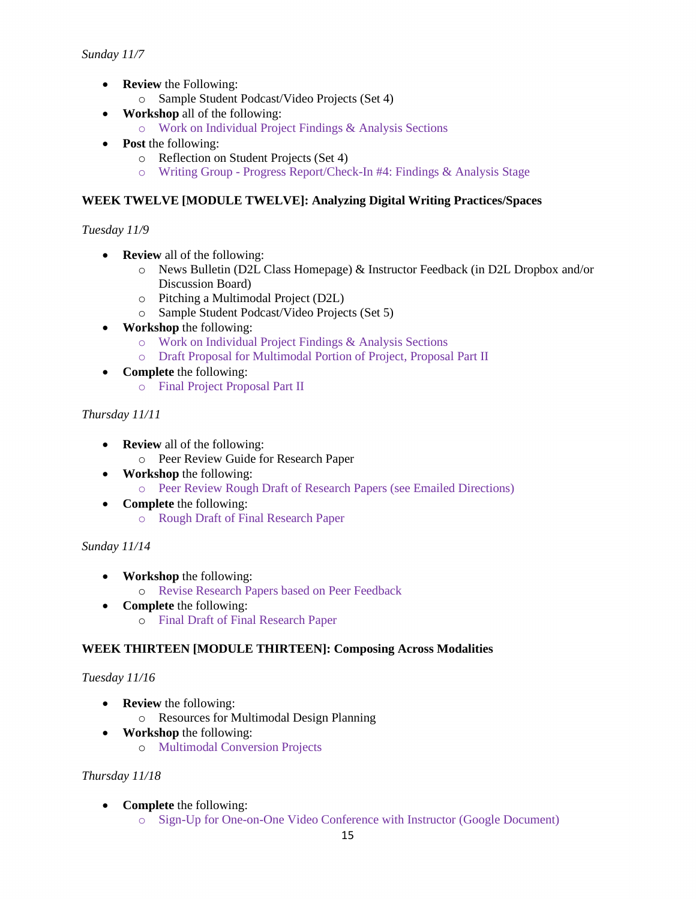- **Review** the Following:
	- o Sample Student Podcast/Video Projects (Set 4)
- **Workshop** all of the following:
	- o Work on Individual Project Findings & Analysis Sections
- **Post** the following:
	- o Reflection on Student Projects (Set 4)
	- o Writing Group Progress Report/Check-In #4: Findings & Analysis Stage

#### **WEEK TWELVE [MODULE TWELVE]: Analyzing Digital Writing Practices/Spaces**

#### *Tuesday 11/9*

- **Review** all of the following:
	- o News Bulletin (D2L Class Homepage) & Instructor Feedback (in D2L Dropbox and/or Discussion Board)
	- o Pitching a Multimodal Project (D2L)
	- o Sample Student Podcast/Video Projects (Set 5)
- **Workshop** the following:
	- o Work on Individual Project Findings & Analysis Sections
	- o Draft Proposal for Multimodal Portion of Project, Proposal Part II
- **Complete** the following: o Final Project Proposal Part II

#### *Thursday 11/11*

- **Review** all of the following:
	- o Peer Review Guide for Research Paper
- **Workshop** the following:
	- o Peer Review Rough Draft of Research Papers (see Emailed Directions)
- **Complete** the following: o Rough Draft of Final Research Paper

#### *Sunday 11/14*

- **Workshop** the following:
	- o Revise Research Papers based on Peer Feedback
- **Complete** the following:
	- o Final Draft of Final Research Paper

## **WEEK THIRTEEN [MODULE THIRTEEN]: Composing Across Modalities**

#### *Tuesday 11/16*

- **Review** the following:
	- o Resources for Multimodal Design Planning
- **Workshop** the following:
	- o Multimodal Conversion Projects

#### *Thursday 11/18*

- **Complete** the following:
	- o Sign-Up for One-on-One Video Conference with Instructor (Google Document)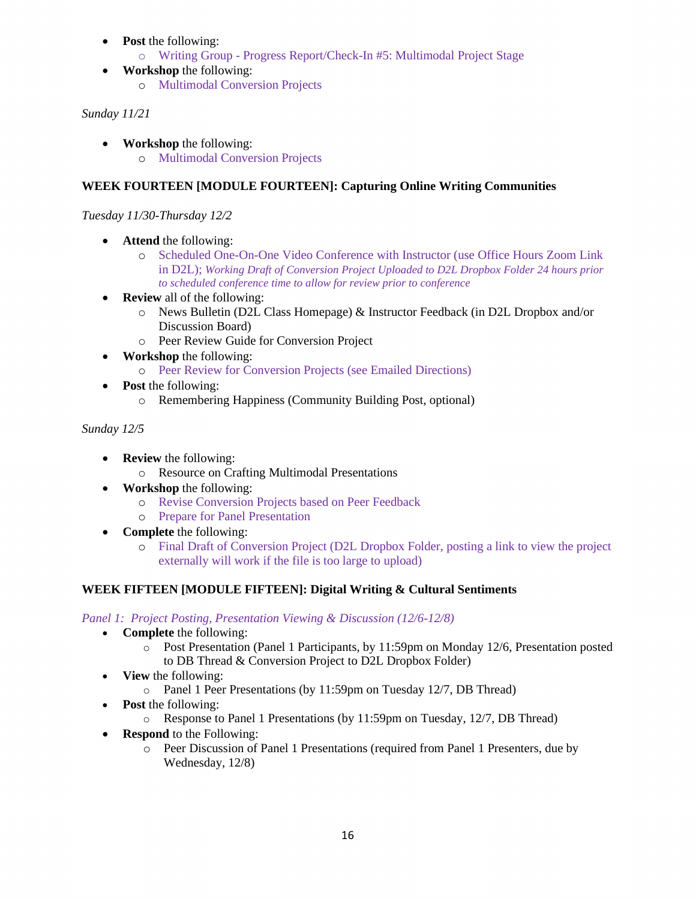- **Post** the following:
	- o Writing Group Progress Report/Check-In #5: Multimodal Project Stage
- **Workshop** the following: o Multimodal Conversion Projects

# *Sunday 11/21*

• **Workshop** the following: o Multimodal Conversion Projects

# **WEEK FOURTEEN [MODULE FOURTEEN]: Capturing Online Writing Communities**

*Tuesday 11/30-Thursday 12/2*

- **Attend** the following:
	- o Scheduled One-On-One Video Conference with Instructor (use Office Hours Zoom Link in D2L); *Working Draft of Conversion Project Uploaded to D2L Dropbox Folder 24 hours prior to scheduled conference time to allow for review prior to conference*
- **Review** all of the following:
	- o News Bulletin (D2L Class Homepage) & Instructor Feedback (in D2L Dropbox and/or Discussion Board)
	- o Peer Review Guide for Conversion Project
- **Workshop** the following:
	- o Peer Review for Conversion Projects (see Emailed Directions)
- **Post** the following:
	- o Remembering Happiness (Community Building Post, optional)

# *Sunday 12/5*

- **Review** the following:
	- o Resource on Crafting Multimodal Presentations
- **Workshop** the following:
	- o Revise Conversion Projects based on Peer Feedback
	- o Prepare for Panel Presentation
- **Complete** the following:
	- o Final Draft of Conversion Project (D2L Dropbox Folder, posting a link to view the project externally will work if the file is too large to upload)

# **WEEK FIFTEEN [MODULE FIFTEEN]: Digital Writing & Cultural Sentiments**

*Panel 1: Project Posting, Presentation Viewing & Discussion (12/6-12/8)*

- **Complete** the following:
	- o Post Presentation (Panel 1 Participants, by 11:59pm on Monday 12/6, Presentation posted to DB Thread & Conversion Project to D2L Dropbox Folder)
- **View** the following:
	- o Panel 1 Peer Presentations (by 11:59pm on Tuesday 12/7, DB Thread)
- **Post** the following:
	- o Response to Panel 1 Presentations (by 11:59pm on Tuesday, 12/7, DB Thread)
- **Respond** to the Following:
	- o Peer Discussion of Panel 1 Presentations (required from Panel 1 Presenters, due by Wednesday, 12/8)